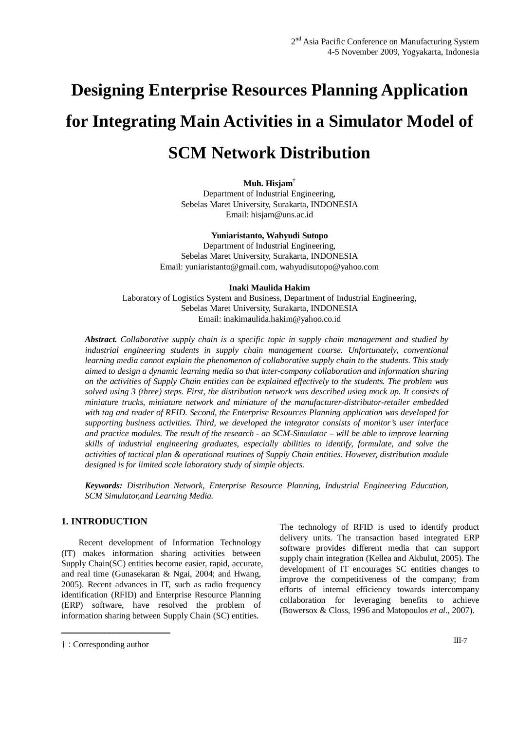# **Designing Enterprise Resources Planning Application for Integrating Main Activities in a Simulator Model of SCM Network Distribution**

## **Muh. Hisjam**†

Department of Industrial Engineering, Sebelas Maret University, Surakarta, INDONESIA Email: hisjam@uns.ac.id

#### **Yuniaristanto, Wahyudi Sutopo**

Department of Industrial Engineering, Sebelas Maret University, Surakarta, INDONESIA Email: yuniaristanto@gmail.com, wahyudisutopo@yahoo.com

#### **Inaki Maulida Hakim**

Laboratory of Logistics System and Business, Department of Industrial Engineering, Sebelas Maret University, Surakarta, INDONESIA Email: inakimaulida.hakim@yahoo.co.id

*Abstract. Collaborative supply chain is a specific topic in supply chain management and studied by industrial engineering students in supply chain management course. Unfortunately, conventional learning media cannot explain the phenomenon of collaborative supply chain to the students. This study aimed to design a dynamic learning media so that inter-company collaboration and information sharing on the activities of Supply Chain entities can be explained effectively to the students. The problem was solved using 3 (three) steps. First, the distribution network was described using mock up. It consists of miniature trucks, miniature network and miniature of the manufacturer-distributor-retailer embedded with tag and reader of RFID. Second, the Enterprise Resources Planning application was developed for supporting business activities. Third, we developed the integrator consists of monitor's user interface and practice modules. The result of the research - an SCM-Simulator – will be able to improve learning skills of industrial engineering graduates, especially abilities to identify, formulate, and solve the activities of tactical plan & operational routines of Supply Chain entities. However, distribution module designed is for limited scale laboratory study of simple objects.* 

*Keywords: Distribution Network, Enterprise Resource Planning, Industrial Engineering Education, SCM Simulator,and Learning Media.* 

# **1. INTRODUCTION**

Recent development of Information Technology (IT) makes information sharing activities between Supply Chain(SC) entities become easier, rapid, accurate, and real time (Gunasekaran & Ngai, 2004; and Hwang, 2005). Recent advances in IT, such as radio frequency identification (RFID) and Enterprise Resource Planning (ERP) software, have resolved the problem of information sharing between Supply Chain (SC) entities.

The technology of RFID is used to identify product delivery units. The transaction based integrated ERP software provides different media that can support supply chain integration (Kellea and Akbulut, 2005). The development of IT encourages SC entities changes to improve the competitiveness of the company; from efforts of internal efficiency towards intercompany collaboration for leveraging benefits to achieve (Bowersox & Closs, 1996 and Matopoulos *et al*., 2007).

\_\_\_\_\_\_\_\_\_\_\_\_\_\_\_\_\_\_\_\_\_\_\_\_\_

<sup>† :</sup> Corresponding author III-7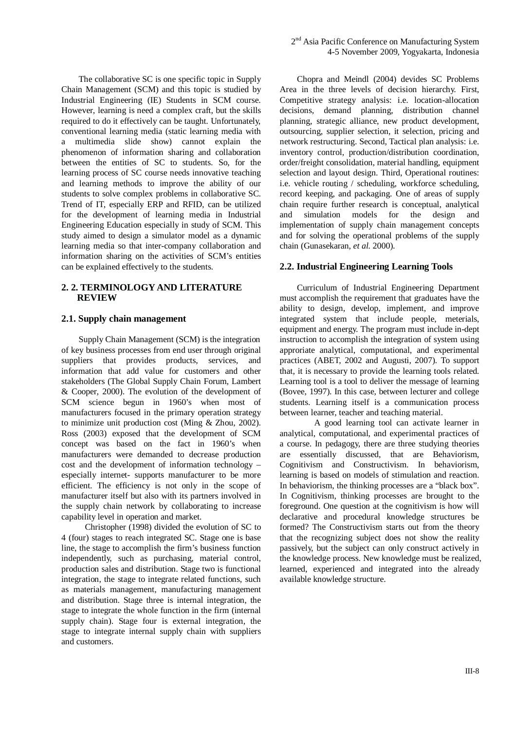The collaborative SC is one specific topic in Supply Chain Management (SCM) and this topic is studied by Industrial Engineering (IE) Students in SCM course. However, learning is need a complex craft, but the skills required to do it effectively can be taught. Unfortunately, conventional learning media (static learning media with a multimedia slide show) cannot explain the phenomenon of information sharing and collaboration between the entities of SC to students. So, for the learning process of SC course needs innovative teaching and learning methods to improve the ability of our students to solve complex problems in collaborative SC. Trend of IT, especially ERP and RFID, can be utilized for the development of learning media in Industrial Engineering Education especially in study of SCM. This study aimed to design a simulator model as a dynamic learning media so that inter-company collaboration and information sharing on the activities of SCM's entities can be explained effectively to the students.

## **2. 2. TERMINOLOGY AND LITERATURE REVIEW**

## **2.1. Supply chain management**

Supply Chain Management (SCM) is the integration of key business processes from end user through original suppliers that provides products, services, and information that add value for customers and other stakeholders (The Global Supply Chain Forum, Lambert & Cooper, 2000). The evolution of the development of SCM science begun in 1960's when most of manufacturers focused in the primary operation strategy to minimize unit production cost (Ming & Zhou, 2002). Ross (2003) exposed that the development of SCM concept was based on the fact in 1960's when manufacturers were demanded to decrease production cost and the development of information technology – especially internet- supports manufacturer to be more efficient. The efficiency is not only in the scope of manufacturer itself but also with its partners involved in the supply chain network by collaborating to increase capability level in operation and market.

Christopher (1998) divided the evolution of SC to 4 (four) stages to reach integrated SC. Stage one is base line, the stage to accomplish the firm's business function independently, such as purchasing, material control, production sales and distribution. Stage two is functional integration, the stage to integrate related functions, such as materials management, manufacturing management and distribution. Stage three is internal integration, the stage to integrate the whole function in the firm (internal supply chain). Stage four is external integration, the stage to integrate internal supply chain with suppliers and customers.

Chopra and Meindl (2004) devides SC Problems Area in the three levels of decision hierarchy. First, Competitive strategy analysis: i.e. location-allocation decisions, demand planning, distribution channel planning, strategic alliance, new product development, outsourcing, supplier selection, it selection, pricing and network restructuring. Second, Tactical plan analysis: i.e. inventory control, production/distribution coordination, order/freight consolidation, material handling, equipment selection and layout design. Third, Operational routines: i.e. vehicle routing / scheduling, workforce scheduling, record keeping, and packaging. One of areas of supply chain require further research is conceptual, analytical and simulation models for the design and implementation of supply chain management concepts and for solving the operational problems of the supply chain (Gunasekaran, *et al.* 2000).

#### **2.2. Industrial Engineering Learning Tools**

Curriculum of Industrial Engineering Department must accomplish the requirement that graduates have the ability to design, develop, implement, and improve integrated system that include people, meterials, equipment and energy. The program must include in-dept instruction to accomplish the integration of system using approriate analytical, computational, and experimental practices (ABET, 2002 and Augusti, 2007). To support that, it is necessary to provide the learning tools related. Learning tool is a tool to deliver the message of learning (Bovee, 1997). In this case, between lecturer and college students. Learning itself is a communication process between learner, teacher and teaching material.

 A good learning tool can activate learner in analytical, computational, and experimental practices of a course. In pedagogy, there are three studying theories are essentially discussed, that are Behaviorism, Cognitivism and Constructivism. In behaviorism, learning is based on models of stimulation and reaction. In behaviorism, the thinking processes are a "black box". In Cognitivism, thinking processes are brought to the foreground. One question at the cognitivism is how will declarative and procedural knowledge structures be formed? The Constructivism starts out from the theory that the recognizing subject does not show the reality passively, but the subject can only construct actively in the knowledge process. New knowledge must be realized, learned, experienced and integrated into the already available knowledge structure.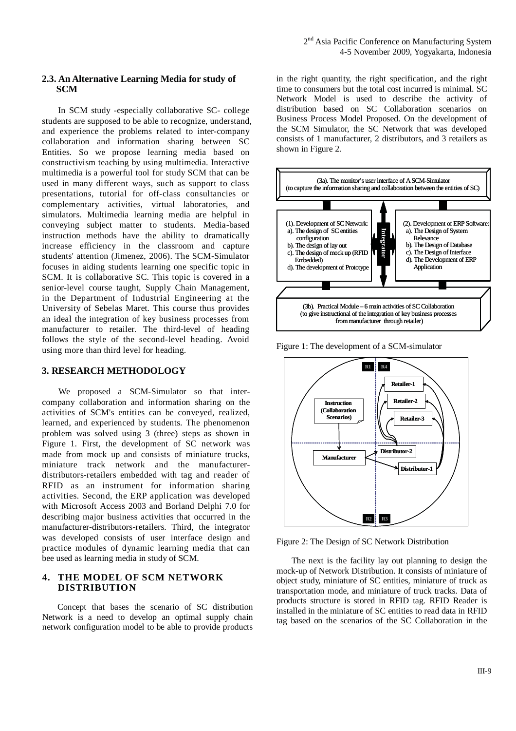## **2.3. An Alternative Learning Media for study of SCM**

In SCM study -especially collaborative SC- college students are supposed to be able to recognize, understand, and experience the problems related to inter-company collaboration and information sharing between SC Entities. So we propose learning media based on constructivism teaching by using multimedia. Interactive multimedia is a powerful tool for study SCM that can be used in many different ways, such as support to class presentations, tutorial for off-class consultancies or complementary activities, virtual laboratories, and simulators. Multimedia learning media are helpful in conveying subject matter to students. Media-based instruction methods have the ability to dramatically increase efficiency in the classroom and capture students' attention (Jimenez, 2006). The SCM-Simulator focuses in aiding students learning one specific topic in SCM. It is collaborative SC. This topic is covered in a senior-level course taught, Supply Chain Management, in the Department of Industrial Engineering at the University of Sebelas Maret. This course thus provides an ideal the integration of key business processes from manufacturer to retailer. The third-level of heading follows the style of the second-level heading. Avoid using more than third level for heading.

#### **3. RESEARCH METHODOLOGY**

We proposed a SCM-Simulator so that intercompany collaboration and information sharing on the activities of SCM's entities can be conveyed, realized, learned, and experienced by students. The phenomenon problem was solved using 3 (three) steps as shown in Figure 1. First, the development of SC network was made from mock up and consists of miniature trucks, miniature track network and the manufacturerdistributors-retailers embedded with tag and reader of RFID as an instrument for information sharing activities. Second, the ERP application was developed with Microsoft Access 2003 and Borland Delphi 7.0 for describing major business activities that occurred in the manufacturer-distributors-retailers. Third, the integrator was developed consists of user interface design and practice modules of dynamic learning media that can bee used as learning media in study of SCM.

## **4. THE MODEL OF SCM NETWORK DISTRIBUTION**

 Concept that bases the scenario of SC distribution Network is a need to develop an optimal supply chain network configuration model to be able to provide products in the right quantity, the right specification, and the right time to consumers but the total cost incurred is minimal. SC Network Model is used to describe the activity of distribution based on SC Collaboration scenarios on Business Process Model Proposed. On the development of the SCM Simulator, the SC Network that was developed consists of 1 manufacturer, 2 distributors, and 3 retailers as shown in Figure 2.



Figure 1: The development of a SCM-simulator



Figure 2: The Design of SC Network Distribution

The next is the facility lay out planning to design the mock-up of Network Distribution. It consists of miniature of object study, miniature of SC entities, miniature of truck as transportation mode, and miniature of truck tracks. Data of products structure is stored in RFID tag. RFID Reader is installed in the miniature of SC entities to read data in RFID tag based on the scenarios of the SC Collaboration in the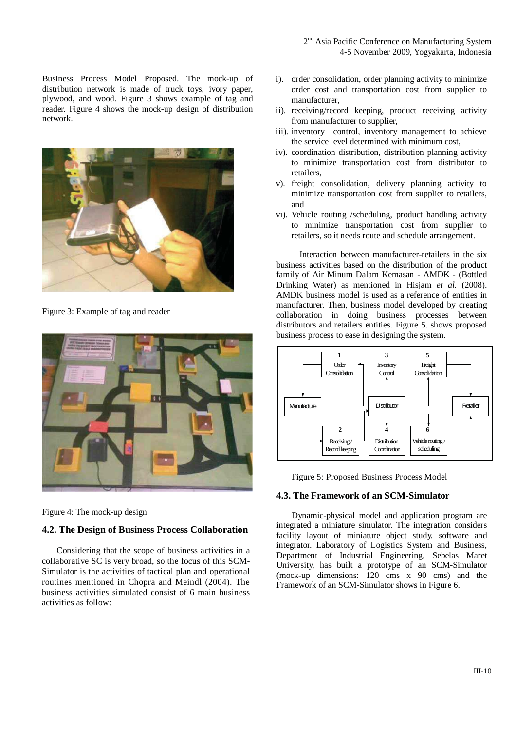Business Process Model Proposed. The mock-up of distribution network is made of truck toys, ivory paper, plywood, and wood. Figure 3 shows example of tag and reader. Figure 4 shows the mock-up design of distribution network.



Figure 3: Example of tag and reader



Figure 4: The mock-up design

# **4.2. The Design of Business Process Collaboration**

Considering that the scope of business activities in a collaborative SC is very broad, so the focus of this SCM-Simulator is the activities of tactical plan and operational routines mentioned in Chopra and Meindl (2004). The business activities simulated consist of 6 main business activities as follow:

- i). order consolidation, order planning activity to minimize order cost and transportation cost from supplier to manufacturer,
- ii). receiving/record keeping, product receiving activity from manufacturer to supplier,
- iii). inventory control, inventory management to achieve the service level determined with minimum cost,
- iv). coordination distribution, distribution planning activity to minimize transportation cost from distributor to retailers,
- v). freight consolidation, delivery planning activity to minimize transportation cost from supplier to retailers, and
- vi). Vehicle routing /scheduling, product handling activity to minimize transportation cost from supplier to retailers, so it needs route and schedule arrangement.

Interaction between manufacturer-retailers in the six business activities based on the distribution of the product family of Air Minum Dalam Kemasan - AMDK - (Bottled Drinking Water) as mentioned in Hisjam *et al.* (2008). AMDK business model is used as a reference of entities in manufacturer. Then, business model developed by creating collaboration in doing business processes between distributors and retailers entities. Figure 5. shows proposed business process to ease in designing the system.





#### **4.3. The Framework of an SCM-Simulator**

Dynamic-physical model and application program are integrated a miniature simulator. The integration considers facility layout of miniature object study, software and integrator. Laboratory of Logistics System and Business, Department of Industrial Engineering, Sebelas Maret University, has built a prototype of an SCM-Simulator (mock-up dimensions: 120 cms x 90 cms) and the Framework of an SCM-Simulator shows in Figure 6.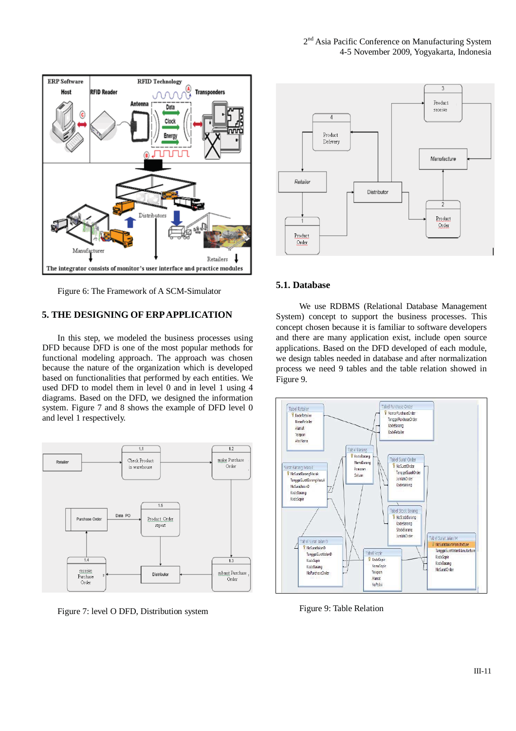

Figure 6: The Framework of A SCM-Simulator

# **5. THE DESIGNING OF ERP APPLICATION**

In this step, we modeled the business processes using DFD because DFD is one of the most popular methods for functional modeling approach. The approach was chosen because the nature of the organization which is developed based on functionalities that performed by each entities. We used DFD to model them in level 0 and in level 1 using 4 diagrams. Based on the DFD, we designed the information system. Figure 7 and 8 shows the example of DFD level 0 and level 1 respectively.



Figure 7: level O DFD, Distribution system



#### **5.1. Database**

We use RDBMS (Relational Database Management System) concept to support the business processes. This concept chosen because it is familiar to software developers and there are many application exist, include open source applications. Based on the DFD developed of each module, we design tables needed in database and after normalization process we need 9 tables and the table relation showed in Figure 9.



Figure 9: Table Relation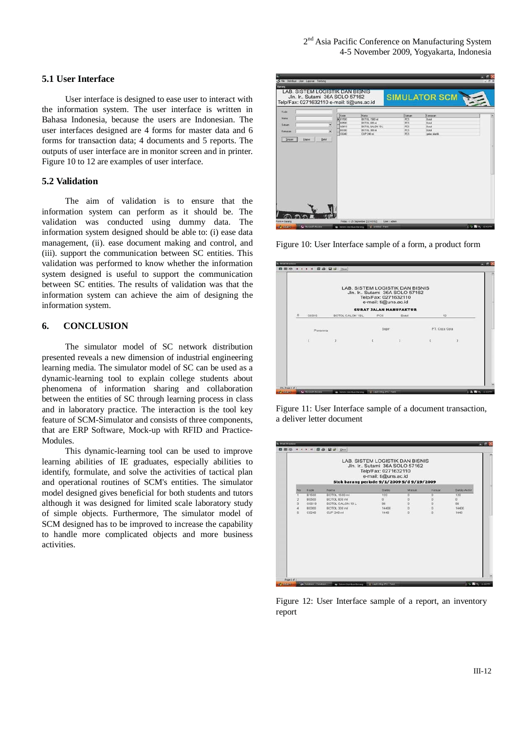## **5.1 User Interface**

User interface is designed to ease user to interact with the information system. The user interface is written in Bahasa Indonesia, because the users are Indonesian. The user interfaces designed are 4 forms for master data and 6 forms for transaction data; 4 documents and 5 reports. The outputs of user interface are in monitor screen and in printer. Figure 10 to 12 are examples of user interface.

## **5.2 Validation**

The aim of validation is to ensure that the information system can perform as it should be. The validation was conducted using dummy data. The information system designed should be able to: (i) ease data management, (ii). ease document making and control, and (iii). support the communication between SC entities. This validation was performed to know whether the information system designed is useful to support the communication between SC entities. The results of validation was that the information system can achieve the aim of designing the information system.

## **6. CONCLUSION**

The simulator model of SC network distribution presented reveals a new dimension of industrial engineering learning media. The simulator model of SC can be used as a dynamic-learning tool to explain college students about phenomena of information sharing and collaboration between the entities of SC through learning process in class and in laboratory practice. The interaction is the tool key feature of SCM-Simulator and consists of three components, that are ERP Software, Mock-up with RFID and Practice-Modules.

This dynamic-learning tool can be used to improve learning abilities of IE graduates, especially abilities to identify, formulate, and solve the activities of tactical plan and operational routines of SCM's entities. The simulator model designed gives beneficial for both students and tutors although it was designed for limited scale laboratory study of simple objects. Furthermore, The simulator model of SCM designed has to be improved to increase the capability to handle more complicated objects and more business activities.

| Kode<br>Nama |                          | Kode<br>▶ 81500 | Name<br>BOTOL 1500 mil      | <b>Selvan</b><br><b>PCS</b> | <b>Kemasan</b><br><b>Botol</b> |  |
|--------------|--------------------------|-----------------|-----------------------------|-----------------------------|--------------------------------|--|
| Saturn       |                          | 80500           | ROTOL 600 mil               | POS                         | Rotof                          |  |
|              | $\overline{\phantom{a}}$ | GOOts           | BOTOL GALON 19 L            | <b>PCS</b>                  | Bond                           |  |
| Kenasan      | Ξ                        | 80000<br>C0240  | BOTOL 300 ml<br>CUP 240 mil | PCS.<br><b>PCS</b>          | Bond<br>gelas plastà           |  |
|              |                          |                 |                             |                             |                                |  |
|              |                          |                 |                             |                             |                                |  |

Figure 10: User Interface sample of a form, a product form

|                                      |                   | Telp/Fax: 0271632110<br>e-mail: ti@uns.ac.id | LAB. SISTEM LOGISTIK DAN BISNIS<br>Jln. Ir., Sutami 36A SOLO 57162 |               |  |  |  |
|--------------------------------------|-------------------|----------------------------------------------|--------------------------------------------------------------------|---------------|--|--|--|
| <b>SURAT JALAN MANUFAKTUR</b><br>. . |                   |                                              |                                                                    |               |  |  |  |
| $\Omega$<br>00019                    | BOTOL GALON 19 L. | PCS.                                         | Botol                                                              | 12            |  |  |  |
| Penerima                             |                   | Sopir                                        |                                                                    | PT. Coca Cola |  |  |  |
|                                      |                   |                                              |                                                                    |               |  |  |  |
|                                      |                   |                                              |                                                                    |               |  |  |  |
|                                      |                   |                                              |                                                                    |               |  |  |  |
|                                      |                   |                                              |                                                                    |               |  |  |  |
|                                      |                   |                                              |                                                                    |               |  |  |  |

Figure 11: User Interface sample of a document transaction, a deliver letter document

| LAB. SISTEM LOGISTIK DAN BISNIS<br>Jln. Ir., Sutami 36A SOLO 57162<br>Telp/Fax: 0271632110<br>e-mail: ti@uns.ac.id<br>Stok barang periode 9/1/2009 S/d 9/19/2009 |              |                  |          |                |          |             |
|------------------------------------------------------------------------------------------------------------------------------------------------------------------|--------------|------------------|----------|----------------|----------|-------------|
| Pão.                                                                                                                                                             | Kode         | Nama             | Saldo    | Masok          | Kekiar   | Saldo Akhir |
|                                                                                                                                                                  | <b>B1500</b> | BOTCL 1500 ml    | 120      | $\overline{a}$ | ū        | 120         |
|                                                                                                                                                                  | <b>B0500</b> | BOTOL 600 ml     | $\Omega$ | ö              | o        | $\Omega$    |
| <sub>3</sub>                                                                                                                                                     | G0019        | BOTOL GALON 19 L | 96       | $\alpha$       | o        | 96          |
| 4                                                                                                                                                                | 80300        | BOTCL 300 ml     | 14400    | o              | n.       | 14400       |
| ĸ                                                                                                                                                                | C0240        | CUP 240 ml       | 1440     | n              | $\Omega$ | 1440        |
|                                                                                                                                                                  |              |                  |          |                |          |             |
|                                                                                                                                                                  |              |                  |          |                |          |             |

Figure 12: User Interface sample of a report, an inventory report